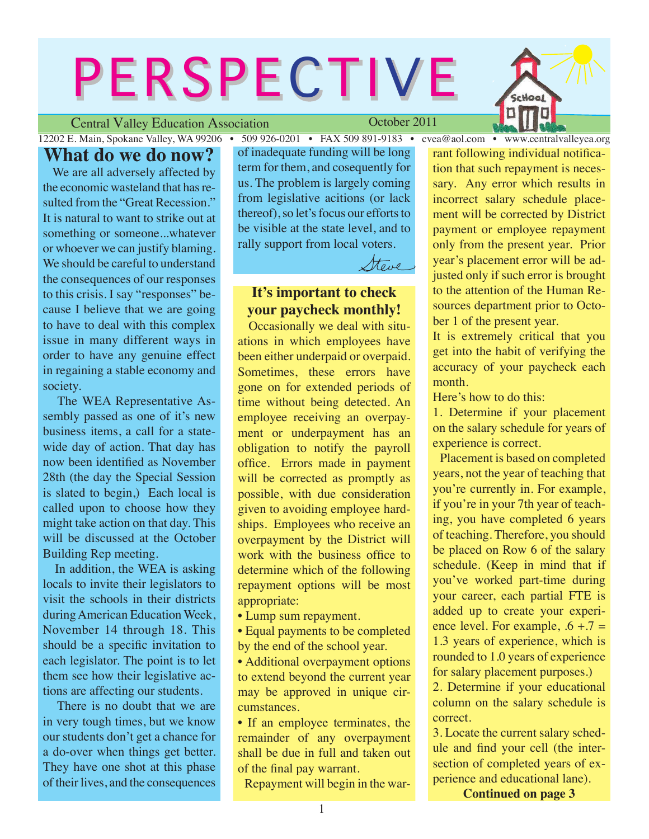# **PERSPECTIVE**

Central Valley Education Association

October 2011



### **What do we do now?**

 We are all adversely affected by the economic wasteland that has resulted from the "Great Recession." It is natural to want to strike out at something or someone...whatever or whoever we can justify blaming. We should be careful to understand the consequences of our responses to this crisis. I say "responses" because I believe that we are going to have to deal with this complex issue in many different ways in order to have any genuine effect in regaining a stable economy and society.

 The WEA Representative Assembly passed as one of it's new business items, a call for a statewide day of action. That day has now been identified as November 28th (the day the Special Session is slated to begin,) Each local is called upon to choose how they might take action on that day. This will be discussed at the October Building Rep meeting.

 In addition, the WEA is asking locals to invite their legislators to visit the schools in their districts during American Education Week, November 14 through 18. This should be a specific invitation to each legislator. The point is to let them see how their legislative actions are affecting our students.

 There is no doubt that we are in very tough times, but we know our students don't get a chance for a do-over when things get better. They have one shot at this phase of their lives, and the consequences

of inadequate funding will be long term for them, and cosequently for us. The problem is largely coming from legislative acitions (or lack thereof), so let's focus our efforts to be visible at the state level, and to rally support from local voters.

Stove

#### **It's important to check your paycheck monthly!**

 Occasionally we deal with situations in which employees have been either underpaid or overpaid. Sometimes, these errors have gone on for extended periods of time without being detected. An employee receiving an overpayment or underpayment has an obligation to notify the payroll office. Errors made in payment will be corrected as promptly as possible, with due consideration given to avoiding employee hardships. Employees who receive an overpayment by the District will work with the business office to determine which of the following repayment options will be most appropriate:

- Lump sum repayment.
- Equal payments to be completed by the end of the school year.

• Additional overpayment options to extend beyond the current year may be approved in unique circumstances.

• If an employee terminates, the remainder of any overpayment shall be due in full and taken out of the final pay warrant.

Repayment will begin in the war-

rant following individual notification that such repayment is necessary. Any error which results in incorrect salary schedule placement will be corrected by District payment or employee repayment only from the present year. Prior year's placement error will be adjusted only if such error is brought to the attention of the Human Resources department prior to October 1 of the present year.

It is extremely critical that you get into the habit of verifying the accuracy of your paycheck each month.

Here's how to do this:

1. Determine if your placement on the salary schedule for years of experience is correct.

 Placement is based on completed years, not the year of teaching that you're currently in. For example, if you're in your 7th year of teaching, you have completed 6 years of teaching. Therefore, you should be placed on Row 6 of the salary schedule. (Keep in mind that if you've worked part-time during your career, each partial FTE is added up to create your experience level. For example,  $.6 + .7 =$ 1.3 years of experience, which is rounded to 1.0 years of experience for salary placement purposes.)

2. Determine if your educational column on the salary schedule is correct.

3. Locate the current salary schedule and find your cell (the intersection of completed years of experience and educational lane).

**Continued on page 3**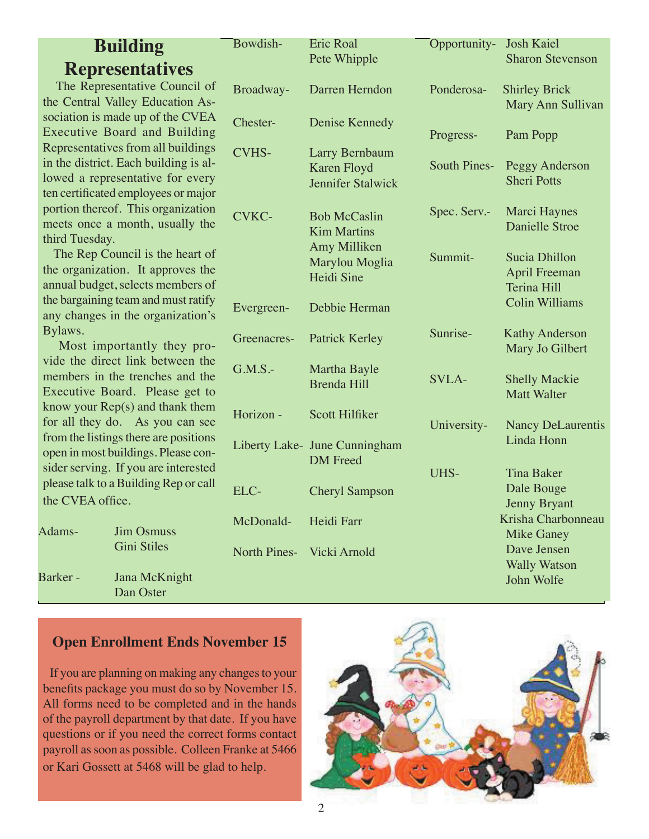## **Building Representatives**

 The Representative Council of the Central Valley Education Association is made up of the CVEA Executive Board and Building Representatives from all buildings in the district. Each building is allowed a representative for every ten certificated employees or major portion thereof. This organization meets once a month, usually the third Tuesday.

 The Rep Council is the heart of the organization. It approves the annual budget, selects members of the bargaining team and must ratify any changes in the organization's Bylaws.

 Most importantly they provide the direct link between the members in the trenches and the Executive Board. Please get to know your Rep(s) and thank them for all they do. As you can see from the listings there are positions open in most buildings. Please consider serving. If you are interested please talk to a Building Rep or call the CVEA office.

| Adams-   | <b>Jim Osmuss</b><br>Gini Stiles |
|----------|----------------------------------|
| Barker - | Jana McKnight<br>Dan Oster       |

| Bowdish-            | <b>Eric Roal</b>                   | Opportunity- | <b>Josh Kaiel</b>        |
|---------------------|------------------------------------|--------------|--------------------------|
|                     | Pete Whipple                       |              | <b>Sharon Stevenson</b>  |
|                     |                                    |              |                          |
| Broadway-           | Darren Herndon                     | Ponderosa-   | <b>Shirley Brick</b>     |
|                     |                                    |              | Mary Ann Sullivan        |
| Chester-            | Denise Kennedy                     |              |                          |
|                     |                                    | Progress-    | Pam Popp                 |
| <b>CVHS-</b>        | <b>Larry Bernbaum</b>              |              |                          |
|                     | Karen Floyd                        | South Pines- | Peggy Anderson           |
|                     | <b>Jennifer Stalwick</b>           |              | <b>Sheri Potts</b>       |
|                     |                                    |              |                          |
| <b>CVKC-</b>        | <b>Bob McCaslin</b>                | Spec. Serv.- | Marci Haynes             |
|                     | <b>Kim Martins</b>                 |              | <b>Danielle Stroe</b>    |
|                     | Amy Milliken                       |              |                          |
|                     | Marylou Moglia                     | Summit-      | Sucia Dhillon            |
|                     | Heidi Sine                         |              | <b>April Freeman</b>     |
|                     |                                    |              | <b>Terina Hill</b>       |
|                     |                                    |              | <b>Colin Williams</b>    |
| Evergreen-          | Debbie Herman                      |              |                          |
|                     |                                    | Sunrise-     | <b>Kathy Anderson</b>    |
| Greenacres-         | <b>Patrick Kerley</b>              |              | Mary Jo Gilbert          |
|                     |                                    |              |                          |
| $G.M.S.$ -          | Martha Bayle<br><b>Brenda Hill</b> | SVLA-        | <b>Shelly Mackie</b>     |
|                     |                                    |              | <b>Matt Walter</b>       |
|                     |                                    |              |                          |
| Horizon -           | Scott Hilfiker                     | University-  | <b>Nancy DeLaurentis</b> |
|                     |                                    |              | Linda Honn               |
|                     | Liberty Lake- June Cunningham      |              |                          |
|                     | <b>DM</b> Freed                    |              | <b>Tina Baker</b>        |
|                     |                                    | UHS-         |                          |
| ELC-                | <b>Cheryl Sampson</b>              |              | Dale Bouge               |
|                     |                                    |              | <b>Jenny Bryant</b>      |
| McDonald-           | Heidi Farr                         |              | Krisha Charbonneau       |
|                     |                                    |              | <b>Mike Ganey</b>        |
| <b>North Pines-</b> | Vicki Arnold                       |              | Dave Jensen              |
|                     |                                    |              | <b>Wally Watson</b>      |
|                     |                                    |              | John Wolfe               |

#### **Open Enrollment Ends November 15**

 If you are planning on making any changes to your benefits package you must do so by November 15. All forms need to be completed and in the hands of the payroll department by that date. If you have questions or if you need the correct forms contact payroll as soon as possible. Colleen Franke at 5466 or Kari Gossett at 5468 will be glad to help.

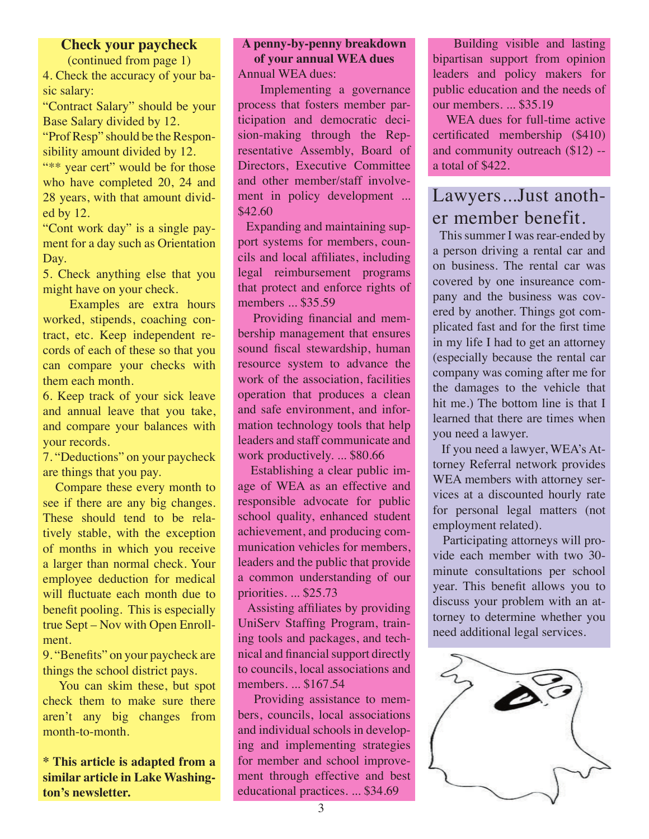#### **Check your paycheck**

(continued from page 1) 4. Check the accuracy of your basic salary:

"Contract Salary" should be your Base Salary divided by 12.

"Prof Resp" should be the Responsibility amount divided by 12.

"\*\* year cert" would be for those who have completed 20, 24 and 28 years, with that amount divided by 12.

"Cont work day" is a single payment for a day such as Orientation Day.

5. Check anything else that you might have on your check.

 Examples are extra hours worked, stipends, coaching contract, etc. Keep independent records of each of these so that you can compare your checks with them each month.

6. Keep track of your sick leave and annual leave that you take, and compare your balances with your records.

7. "Deductions" on your paycheck are things that you pay.

 Compare these every month to see if there are any big changes. These should tend to be relatively stable, with the exception of months in which you receive a larger than normal check. Your employee deduction for medical will fluctuate each month due to benefit pooling. This is especially true Sept – Nov with Open Enrollment.

9. "Benefits" on your paycheck are things the school district pays.

 You can skim these, but spot check them to make sure there aren't any big changes from month-to-month.

**\* This article is adapted from a similar article in Lake Washington's newsletter.** 

#### **A penny-by-penny breakdown of your annual WEA dues** Annual WEA dues:

 Implementing a governance process that fosters member participation and democratic decision-making through the Representative Assembly, Board of Directors, Executive Committee and other member/staff involvement in policy development ... \$42.60

 Expanding and maintaining support systems for members, councils and local affiliates, including legal reimbursement programs that protect and enforce rights of members ... \$35.59

 Providing financial and membership management that ensures sound fiscal stewardship, human resource system to advance the work of the association, facilities operation that produces a clean and safe environment, and information technology tools that help leaders and staff communicate and work productively. ... \$80.66

 Establishing a clear public image of WEA as an effective and responsible advocate for public school quality, enhanced student achievement, and producing communication vehicles for members, leaders and the public that provide a common understanding of our priorities. ... \$25.73

 Assisting affiliates by providing UniServ Staffing Program, training tools and packages, and technical and financial support directly to councils, local associations and members. ... \$167.54

 Providing assistance to members, councils, local associations and individual schools in developing and implementing strategies for member and school improvement through effective and best educational practices. ... \$34.69

 Building visible and lasting bipartisan support from opinion leaders and policy makers for public education and the needs of our members. ... \$35.19

 WEA dues for full-time active certificated membership (\$410) and community outreach (\$12) - a total of \$422.

## Lawyers...Just another member benefit.

 This summer I was rear-ended by a person driving a rental car and on business. The rental car was covered by one insureance company and the business was covered by another. Things got complicated fast and for the first time in my life I had to get an attorney (especially because the rental car company was coming after me for the damages to the vehicle that hit me.) The bottom line is that I learned that there are times when you need a lawyer.

 If you need a lawyer, WEA's Attorney Referral network provides WEA members with attorney services at a discounted hourly rate for personal legal matters (not employment related).

 Participating attorneys will provide each member with two 30 minute consultations per school year. This benefit allows you to discuss your problem with an attorney to determine whether you need additional legal services.